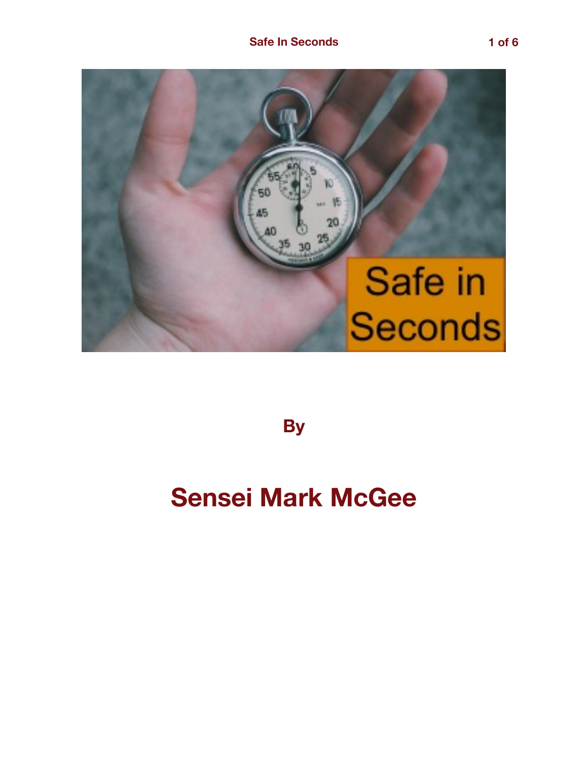

**By** 

## **Sensei Mark McGee**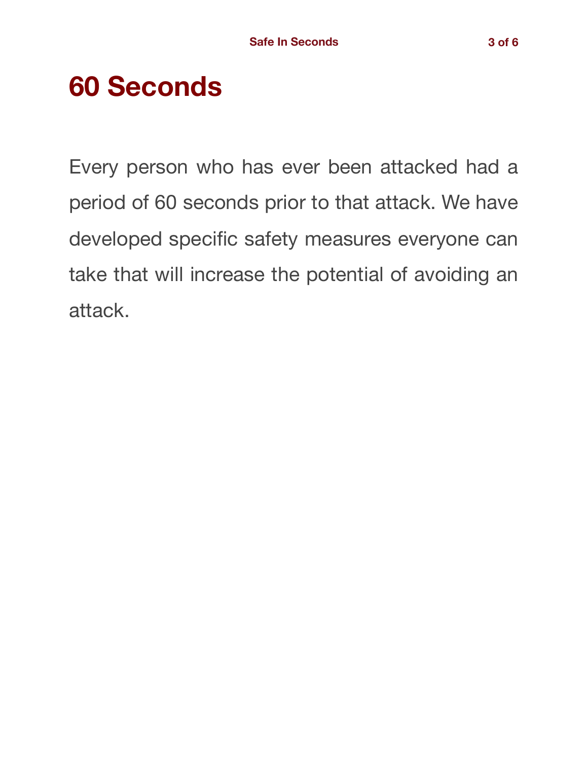# **60 Seconds**

Every person who has ever been attacked had a period of 60 seconds prior to that attack. We have developed specific safety measures everyone can take that will increase the potential of avoiding an attack.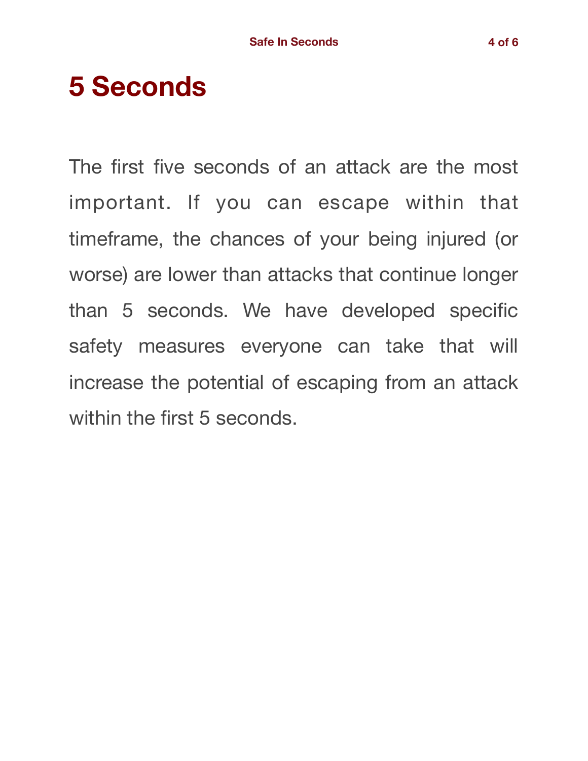## **5 Seconds**

The first five seconds of an attack are the most important. If you can escape within that timeframe, the chances of your being injured (or worse) are lower than attacks that continue longer than 5 seconds. We have developed specific safety measures everyone can take that will increase the potential of escaping from an attack within the first 5 seconds.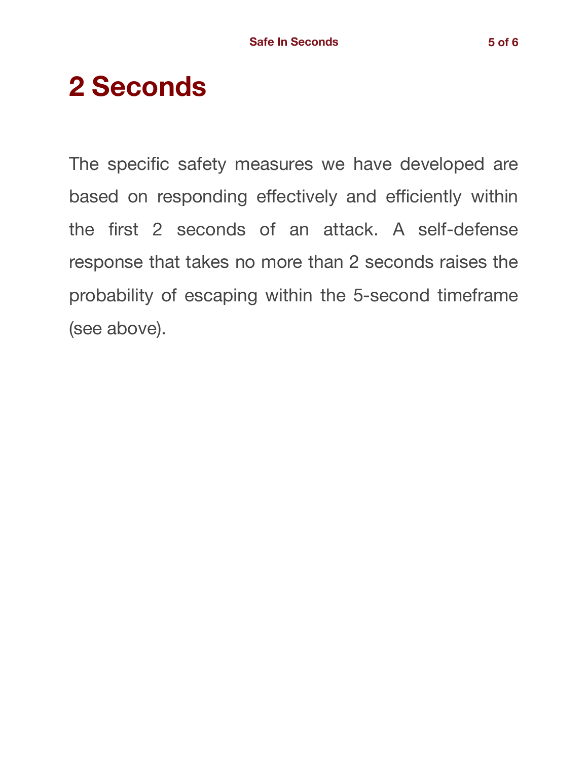# **2 Seconds**

The specific safety measures we have developed are based on responding effectively and efficiently within the first 2 seconds of an attack. A self-defense response that takes no more than 2 seconds raises the probability of escaping within the 5-second timeframe (see above).